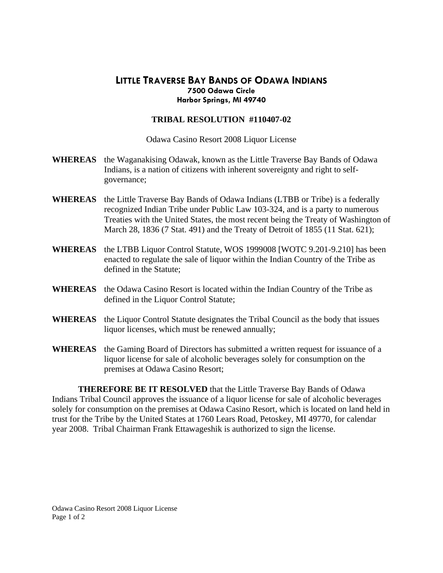## **LITTLE TRAVERSE BAY BANDS OF ODAWA INDIANS 7500 Odawa Circle Harbor Springs, MI 49740**

## **TRIBAL RESOLUTION #110407-02**

Odawa Casino Resort 2008 Liquor License

- **WHEREAS** the Waganakising Odawak, known as the Little Traverse Bay Bands of Odawa Indians, is a nation of citizens with inherent sovereignty and right to selfgovernance;
- **WHEREAS** the Little Traverse Bay Bands of Odawa Indians (LTBB or Tribe) is a federally recognized Indian Tribe under Public Law 103-324, and is a party to numerous Treaties with the United States, the most recent being the Treaty of Washington of March 28, 1836 (7 Stat. 491) and the Treaty of Detroit of 1855 (11 Stat. 621);
- **WHEREAS** the LTBB Liquor Control Statute, WOS 1999008 [WOTC 9.201-9.210] has been enacted to regulate the sale of liquor within the Indian Country of the Tribe as defined in the Statute;
- **WHEREAS** the Odawa Casino Resort is located within the Indian Country of the Tribe as defined in the Liquor Control Statute;
- **WHEREAS** the Liquor Control Statute designates the Tribal Council as the body that issues liquor licenses, which must be renewed annually;
- **WHEREAS** the Gaming Board of Directors has submitted a written request for issuance of a liquor license for sale of alcoholic beverages solely for consumption on the premises at Odawa Casino Resort;

**THEREFORE BE IT RESOLVED** that the Little Traverse Bay Bands of Odawa Indians Tribal Council approves the issuance of a liquor license for sale of alcoholic beverages solely for consumption on the premises at Odawa Casino Resort, which is located on land held in trust for the Tribe by the United States at 1760 Lears Road, Petoskey, MI 49770, for calendar year 2008. Tribal Chairman Frank Ettawageshik is authorized to sign the license.